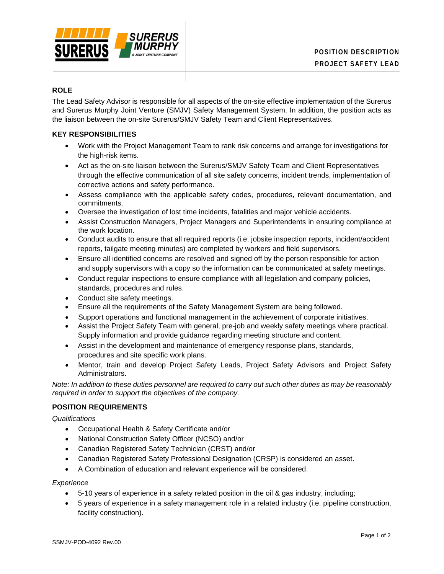

# **ROLE**

The Lead Safety Advisor is responsible for all aspects of the on-site effective implementation of the Surerus and Surerus Murphy Joint Venture (SMJV) Safety Management System. In addition, the position acts as the liaison between the on-site Surerus/SMJV Safety Team and Client Representatives.

### **KEY RESPONSIBILITIES**

- Work with the Project Management Team to rank risk concerns and arrange for investigations for the high-risk items.
- Act as the on-site liaison between the Surerus/SMJV Safety Team and Client Representatives through the effective communication of all site safety concerns, incident trends, implementation of corrective actions and safety performance.
- Assess compliance with the applicable safety codes, procedures, relevant documentation, and commitments.
- Oversee the investigation of lost time incidents, fatalities and major vehicle accidents.
- Assist Construction Managers, Project Managers and Superintendents in ensuring compliance at the work location.
- Conduct audits to ensure that all required reports (i.e. jobsite inspection reports, incident/accident reports, tailgate meeting minutes) are completed by workers and field supervisors.
- Ensure all identified concerns are resolved and signed off by the person responsible for action and supply supervisors with a copy so the information can be communicated at safety meetings.
- Conduct regular inspections to ensure compliance with all legislation and company policies, standards, procedures and rules.
- Conduct site safety meetings.
- Ensure all the requirements of the Safety Management System are being followed.
- Support operations and functional management in the achievement of corporate initiatives.
- Assist the Project Safety Team with general, pre-job and weekly safety meetings where practical. Supply information and provide guidance regarding meeting structure and content.
- Assist in the development and maintenance of emergency response plans, standards, procedures and site specific work plans.
- Mentor, train and develop Project Safety Leads, Project Safety Advisors and Project Safety Administrators.

*Note: In addition to these duties personnel are required to carry out such other duties as may be reasonably required in order to support the objectives of the company.*

## **POSITION REQUIREMENTS**

*Qualifications*

- Occupational Health & Safety Certificate and/or
- National Construction Safety Officer (NCSO) and/or
- Canadian Registered Safety Technician (CRST) and/or
- Canadian Registered Safety Professional Designation (CRSP) is considered an asset.
- A Combination of education and relevant experience will be considered.

*Experience*

- 5-10 years of experience in a safety related position in the oil & gas industry, including;
- 5 years of experience in a safety management role in a related industry (i.e. pipeline construction, facility construction).